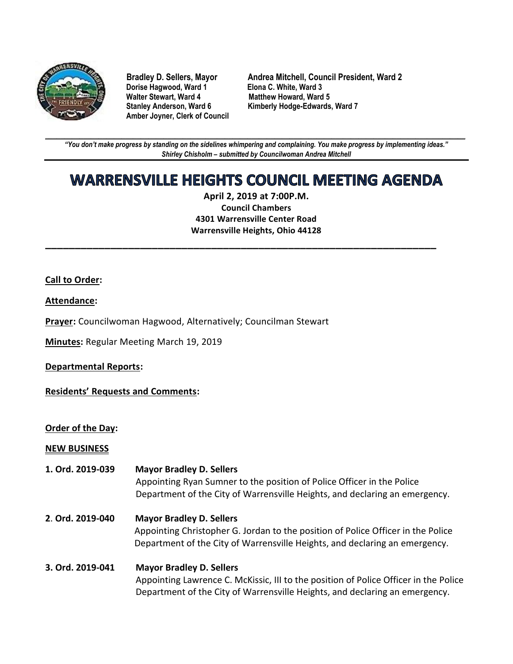

**Dorise Hagwood, Ward 1**<br>Walter Stewart, Ward 4 **Amber Joyner, Clerk of Council**

**Bradley D. Sellers, Mayor Andrea Mitchell, Council President, Ward 2 Matthew Howard, Ward 5** Stanley Anderson, Ward 6 Kimberly Hodge-Edwards, Ward 7

**\_\_\_\_\_\_\_\_\_\_\_\_\_\_\_\_\_\_\_\_\_\_\_\_\_\_\_\_\_\_\_\_\_\_\_\_\_\_\_\_\_\_\_\_\_\_\_\_\_\_\_\_\_\_\_\_\_\_\_\_\_\_\_\_\_\_\_\_\_\_\_\_\_\_\_\_\_\_\_\_\_\_\_\_\_\_\_\_\_\_\_\_\_\_\_\_\_\_\_\_\_\_\_\_\_\_\_\_\_\_** *"You don't make progress by standing on the sidelines whimpering and complaining. You make progress by implementing ideas." Shirley Chisholm – submitted by Councilwoman Andrea Mitchell*

# **WARRENSVILLE HEIGHTS COUNCIL MEETING AGENDA**

**April 2, 2019 at 7:00P.M. Council Chambers 4301 Warrensville Center Road Warrensville Heights, Ohio 44128**

**\_\_\_\_\_\_\_\_\_\_\_\_\_\_\_\_\_\_\_\_\_\_\_\_\_\_\_\_\_\_\_\_\_\_\_\_\_\_\_\_\_\_\_\_\_\_\_\_\_\_\_\_\_\_\_\_\_\_\_\_\_\_\_\_\_\_**

## **Call to Order:**

#### **Attendance:**

**Prayer:** Councilwoman Hagwood, Alternatively; Councilman Stewart

**Minutes:** Regular Meeting March 19, 2019

#### **Departmental Reports:**

**Residents' Requests and Comments:**

#### **Order of the Day:**

#### **NEW BUSINESS**

- **1. Ord. 2019-039 Mayor Bradley D. Sellers**  Appointing Ryan Sumner to the position of Police Officer in the Police Department of the City of Warrensville Heights, and declaring an emergency. **2**. **Ord. 2019-040 Mayor Bradley D. Sellers** Appointing Christopher G. Jordan to the position of Police Officer in the Police Department of the City of Warrensville Heights, and declaring an emergency.
- **3. Ord. 2019-041 Mayor Bradley D. Sellers**  Appointing Lawrence C. McKissic, III to the position of Police Officer in the Police Department of the City of Warrensville Heights, and declaring an emergency.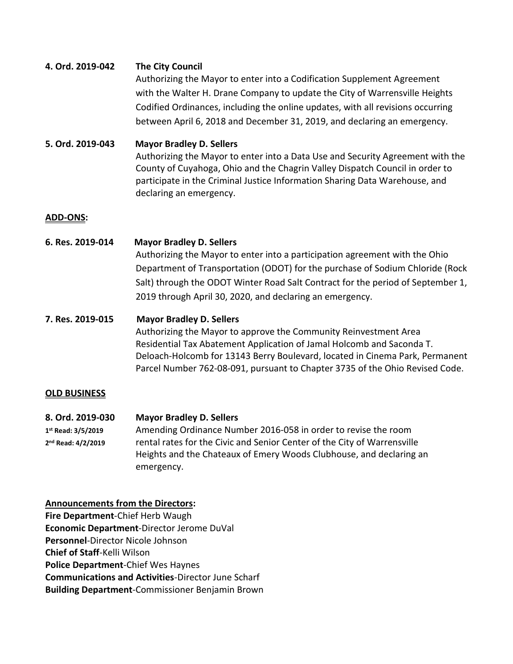## **4. Ord. 2019-042 The City Council**

Authorizing the Mayor to enter into a Codification Supplement Agreement with the Walter H. Drane Company to update the City of Warrensville Heights Codified Ordinances, including the online updates, with all revisions occurring between April 6, 2018 and December 31, 2019, and declaring an emergency.

# **5. Ord. 2019-043 Mayor Bradley D. Sellers**

Authorizing the Mayor to enter into a Data Use and Security Agreement with the County of Cuyahoga, Ohio and the Chagrin Valley Dispatch Council in order to participate in the Criminal Justice Information Sharing Data Warehouse, and declaring an emergency.

## **ADD-ONS:**

**6. Res. 2019-014 Mayor Bradley D. Sellers** Authorizing the Mayor to enter into a participation agreement with the Ohio Department of Transportation (ODOT) for the purchase of Sodium Chloride (Rock Salt) through the ODOT Winter Road Salt Contract for the period of September 1, 2019 through April 30, 2020, and declaring an emergency.

## **7. Res. 2019-015 Mayor Bradley D. Sellers**

Authorizing the Mayor to approve the Community Reinvestment Area Residential Tax Abatement Application of Jamal Holcomb and Saconda T. Deloach-Holcomb for 13143 Berry Boulevard, located in Cinema Park, Permanent Parcel Number 762-08-091, pursuant to Chapter 3735 of the Ohio Revised Code.

## **OLD BUSINESS**

**8. Ord. 2019-030 Mayor Bradley D. Sellers** 1st Read: 3/5/2019 **st Read: 3/5/2019** Amending Ordinance Number 2016-058 in order to revise the room 2<sup>nd</sup> Read: 4/2/2019 rental rates for the Civic and Senior Center of the City of Warrensville Heights and the Chateaux of Emery Woods Clubhouse, and declaring an emergency.

# **Announcements from the Directors:**

**Fire Department**-Chief Herb Waugh **Economic Department**-Director Jerome DuVal **Personnel**-Director Nicole Johnson **Chief of Staff**-Kelli Wilson **Police Department**-Chief Wes Haynes **Communications and Activities**-Director June Scharf **Building Department**-Commissioner Benjamin Brown